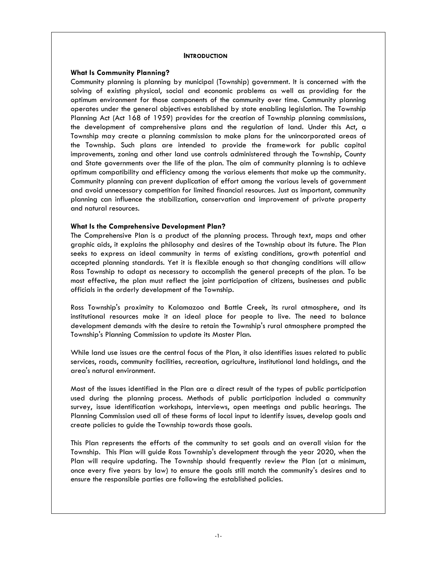## **INTRODUCTION**

## **What Is Community Planning?**

Community planning is planning by municipal (Township) government. It is concerned with the solving of existing physical, social and economic problems as well as providing for the optimum environment for those components of the community over time. Community planning operates under the general objectives established by state enabling legislation. The Township Planning Act (Act 168 of 1959) provides for the creation of Township planning commissions, the development of comprehensive plans and the regulation of land. Under this Act, a Township may create a planning commission to make plans for the unincorporated areas of the Township. Such plans are intended to provide the framework for public capital improvements, zoning and other land use controls administered through the Township, County and State governments over the life of the plan. The aim of community planning is to achieve optimum compatibility and efficiency among the various elements that make up the community. Community planning can prevent duplication of effort among the various levels of government and avoid unnecessary competition for limited financial resources. Just as important, community planning can influence the stabilization, conservation and improvement of private property and natural resources.

## **What Is the Comprehensive Development Plan?**

The Comprehensive Plan is a product of the planning process. Through text, maps and other graphic aids, it explains the philosophy and desires of the Township about its future. The Plan seeks to express an ideal community in terms of existing conditions, growth potential and accepted planning standards. Yet it is flexible enough so that changing conditions will allow Ross Township to adapt as necessary to accomplish the general precepts of the plan. To be most effective, the plan must reflect the joint participation of citizens, businesses and public officials in the orderly development of the Township.

Ross Township's proximity to Kalamazoo and Battle Creek, its rural atmosphere, and its institutional resources make it an ideal place for people to live. The need to balance development demands with the desire to retain the Township's rural atmosphere prompted the Township's Planning Commission to update its Master Plan.

While land use issues are the central focus of the Plan, it also identifies issues related to public services, roads, community facilities, recreation, agriculture, institutional land holdings, and the area's natural environment.

Most of the issues identified in the Plan are a direct result of the types of public participation used during the planning process. Methods of public participation included a community survey, issue identification workshops, interviews, open meetings and public hearings. The Planning Commission used all of these forms of local input to identify issues, develop goals and create policies to guide the Township towards those goals.

This Plan represents the efforts of the community to set goals and an overall vision for the Township. This Plan will guide Ross Township's development through the year 2020, when the Plan will require updating. The Township should frequently review the Plan (at a minimum, once every five years by law) to ensure the goals still match the community's desires and to ensure the responsible parties are following the established policies.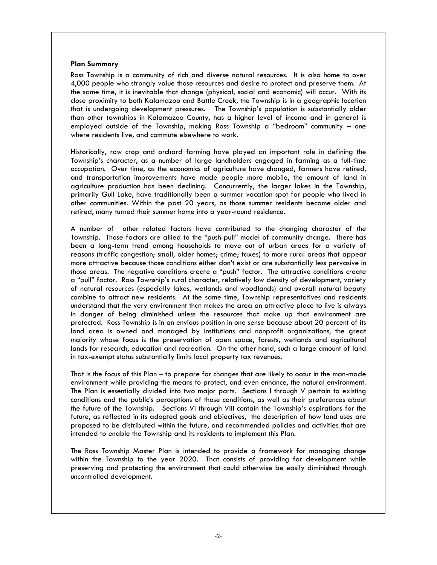## **Plan Summary**

Ross Township is a community of rich and diverse natural resources. It is also home to over 4,000 people who strongly value those resources and desire to protect and preserve them. At the same time, it is inevitable that change (physical, social and economic) will occur. With its close proximity to both Kalamazoo and Battle Creek, the Township is in a geographic location that is undergoing development pressures. The Township's population is substantially older than other townships in Kalamazoo County, has a higher level of income and in general is employed outside of the Township, making Ross Township a "bedroom" community – one where residents live, and commute elsewhere to work.

Historically, row crop and orchard farming have played an important role in defining the Township's character, as a number of large landholders engaged in farming as a full-time occupation. Over time, as the economics of agriculture have changed, farmers have retired, and transportation improvements have made people more mobile, the amount of land in agriculture production has been declining. Concurrently, the larger lakes in the Township, primarily Gull Lake, have traditionally been a summer vacation spot for people who lived in other communities. Within the past 20 years, as those summer residents became older and retired, many turned their summer home into a year-round residence.

A number of other related factors have contributed to the changing character of the Township. Those factors are allied to the "push-pull" model of community change. There has been a long-term trend among households to move out of urban areas for a variety of reasons (traffic congestion; small, older homes; crime; taxes) to more rural areas that appear more attractive because those conditions either don't exist or are substantially less pervasive in those areas. The negative conditions create a "push" factor. The attractive conditions create a "pull" factor. Ross Township's rural character, relatively low density of development, variety of natural resources (especially lakes, wetlands and woodlands) and overall natural beauty combine to attract new residents. At the same time, Township representatives and residents understand that the very environment that makes the area an attractive place to live is always in danger of being diminished unless the resources that make up that environment are protected. Ross Township is in an envious position in one sense because about 20 percent of its land area is owned and managed by institutions and nonprofit organizations, the great majority whose focus is the preservation of open space, forests, wetlands and agricultural lands for research, education and recreation. On the other hand, such a large amount of land in tax-exempt status substantially limits local property tax revenues.

That is the focus of this Plan – to prepare for changes that are likely to occur in the man-made environment while providing the means to protect, and even enhance, the natural environment. The Plan is essentially divided into two major parts. Sections I through V pertain to existing conditions and the public's perceptions of those conditions, as well as their preferences about the future of the Township. Sections VI through VIII contain the Township's aspirations for the future, as reflected in its adopted goals and objectives, the description of how land uses are proposed to be distributed within the future, and recommended policies and activities that are intended to enable the Township and its residents to implement this Plan.

The Ross Township Master Plan is intended to provide a framework for managing change within the Township to the year 2020. That consists of providing for development while preserving and protecting the environment that could otherwise be easily diminished through uncontrolled development.